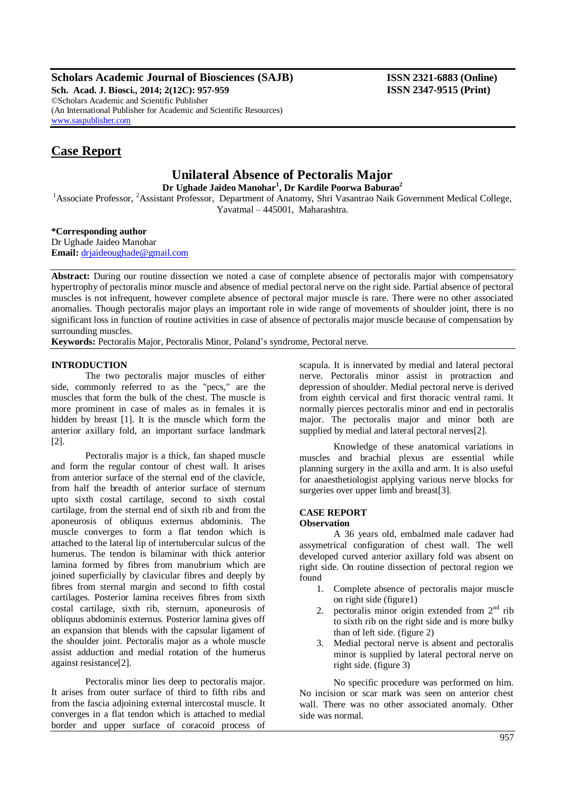## **Scholars Academic Journal of Biosciences (SAJB) ISSN 2321-6883 (Online)**

**Sch. Acad. J. Biosci., 2014; 2(12C): 957-959 ISSN 2347-9515 (Print)** ©Scholars Academic and Scientific Publisher (An International Publisher for Academic and Scientific Resources) [www.saspublisher.com](http://www.saspublisher.com/)

## **Case Report**

# **Unilateral Absence of Pectoralis Major**

**Dr Ughade Jaideo Manohar<sup>1</sup> , Dr Kardile Poorwa Baburao<sup>2</sup>**

<sup>1</sup>Associate Professor, <sup>2</sup>Assistant Professor, Department of Anatomy, Shri Vasantrao Naik Government Medical College, Yavatmal – 445001, Maharashtra.

## **\*Corresponding author**

Dr Ughade Jaideo Manohar **Email:** [drjaideoughade@gmail.com](mailto:drjaideoughade@gmail.com)

**Abstract:** During our routine dissection we noted a case of complete absence of pectoralis major with compensatory hypertrophy of pectoralis minor muscle and absence of medial pectoral nerve on the right side. Partial absence of pectoral muscles is not infrequent, however complete absence of pectoral major muscle is rare. There were no other associated anomalies. Though pectoralis major plays an important role in wide range of movements of shoulder joint, there is no significant loss in function of routine activities in case of absence of pectoralis major muscle because of compensation by surrounding muscles.

**Keywords:** Pectoralis Major, Pectoralis Minor, Poland's syndrome, Pectoral nerve.

## **INTRODUCTION**

The two pectoralis major muscles of either side, commonly referred to as the "pecs," are the muscles that form the bulk of the chest. The muscle is more prominent in case of males as in females it is hidden by breast [1]. It is the muscle which form the anterior axillary fold, an important surface landmark [2].

Pectoralis major is a thick, fan shaped muscle and form the regular contour of chest wall. It arises from anterior surface of the sternal end of the clavicle, from half the breadth of anterior surface of sternum upto sixth costal cartilage, second to sixth costal cartilage, from the sternal end of sixth rib and from the aponeurosis of obliquus externus abdominis. The muscle converges to form a flat tendon which is attached to the lateral lip of intertubercular sulcus of the humerus. The tendon is bilaminar with thick anterior lamina formed by fibres from manubrium which are joined superficially by clavicular fibres and deeply by fibres from sternal margin and second to fifth costal cartilages. Posterior lamina receives fibres from sixth costal cartilage, sixth rib, sternum, aponeurosis of obliquus abdominis externus. Posterior lamina gives off an expansion that blends with the capsular ligament of the shoulder joint. Pectoralis major as a whole muscle assist adduction and medial rotation of the humerus against resistance[2].

Pectoralis minor lies deep to pectoralis major. It arises from outer surface of third to fifth ribs and from the fascia adjoining external intercostal muscle. It converges in a flat tendon which is attached to medial border and upper surface of coracoid process of

scapula. It is innervated by medial and lateral pectoral nerve. Pectoralis minor assist in protraction and depression of shoulder. Medial pectoral nerve is derived from eighth cervical and first thoracic ventral rami. It normally pierces pectoralis minor and end in pectoralis major. The pectoralis major and minor both are supplied by medial and lateral pectoral nerves[2].

Knowledge of these anatomical variations in muscles and brachial plexus are essential while planning surgery in the axilla and arm. It is also useful for anaesthetiologist applying various nerve blocks for surgeries over upper limb and breast[3].

#### **CASE REPORT Observation**

A 36 years old, embalmed male cadaver had assymetrical configuration of chest wall. The well

developed curved anterior axillary fold was absent on right side. On routine dissection of pectoral region we found

- 1. Complete absence of pectoralis major muscle on right side (figure1)
- 2. pectoralis minor origin extended from  $2<sup>nd</sup>$  rib to sixth rib on the right side and is more bulky than of left side. (figure 2)
- 3. Medial pectoral nerve is absent and pectoralis minor is supplied by lateral pectoral nerve on right side. (figure 3)

No specific procedure was performed on him. No incision or scar mark was seen on anterior chest wall. There was no other associated anomaly. Other side was normal.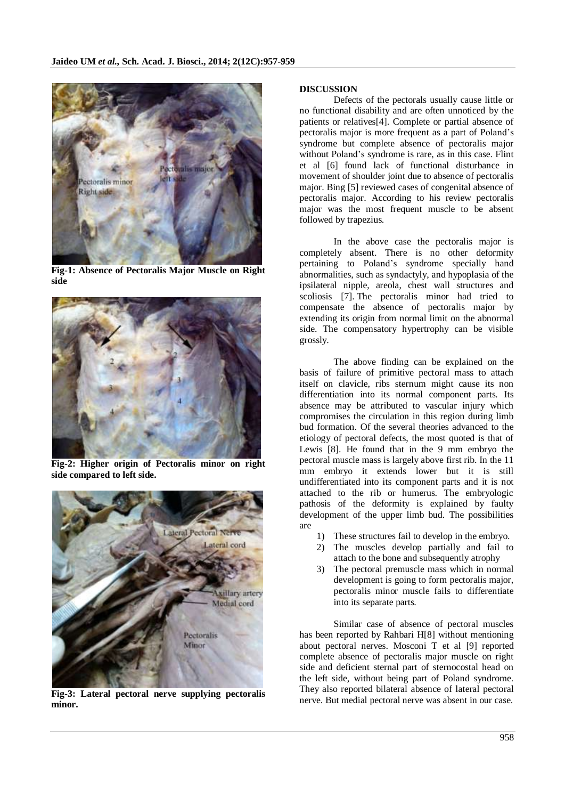

**Fig-1: Absence of Pectoralis Major Muscle on Right side**



**Fig-2: Higher origin of Pectoralis minor on right side compared to left side.**



**Fig-3: Lateral pectoral nerve supplying pectoralis minor.**

## **DISCUSSION**

Defects of the pectorals usually cause little or no functional disability and are often unnoticed by the patients or relatives[4]. Complete or partial absence of pectoralis major is more frequent as a part of Poland's syndrome but complete absence of pectoralis major without Poland's syndrome is rare, as in this case. Flint et al [6] found lack of functional disturbance in movement of shoulder joint due to absence of pectoralis major. Bing [5] reviewed cases of congenital absence of pectoralis major. According to his review pectoralis major was the most frequent muscle to be absent followed by trapezius.

In the above case the pectoralis major is completely absent. There is no other deformity pertaining to Poland's syndrome specially hand abnormalities, such as syndactyly, and hypoplasia of the ipsilateral nipple, areola, chest wall structures and scoliosis [7]. The pectoralis minor had tried to compensate the absence of pectoralis major by extending its origin from normal limit on the abnormal side. The compensatory hypertrophy can be visible grossly.

The above finding can be explained on the basis of failure of primitive pectoral mass to attach itself on clavicle, ribs sternum might cause its non differentiation into its normal component parts. Its absence may be attributed to vascular injury which compromises the circulation in this region during limb bud formation. Of the several theories advanced to the etiology of pectoral defects, the most quoted is that of Lewis [8]. He found that in the 9 mm embryo the pectoral muscle mass is largely above first rib. In the 11 mm embryo it extends lower but it is still undifferentiated into its component parts and it is not attached to the rib or humerus. The embryologic pathosis of the deformity is explained by faulty development of the upper limb bud. The possibilities are

- 1) These structures fail to develop in the embryo.
- 2) The muscles develop partially and fail to attach to the bone and subsequently atrophy
- 3) The pectoral premuscle mass which in normal development is going to form pectoralis major, pectoralis minor muscle fails to differentiate into its separate parts.

Similar case of absence of pectoral muscles has been reported by Rahbari H[8] without mentioning about pectoral nerves. Mosconi T et al [9] reported complete absence of pectoralis major muscle on right side and deficient sternal part of sternocostal head on the left side, without being part of Poland syndrome. They also reported bilateral absence of lateral pectoral nerve. But medial pectoral nerve was absent in our case.